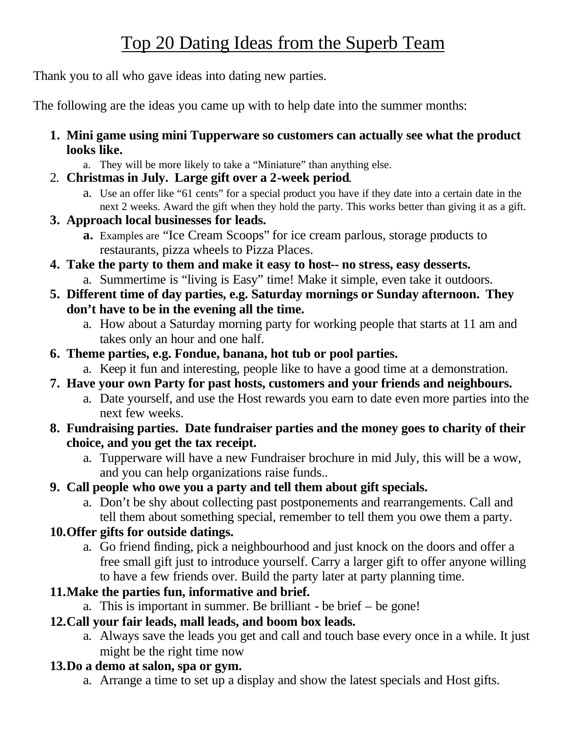# Top 20 Dating Ideas from the Superb Team

Thank you to all who gave ideas into dating new parties.

The following are the ideas you came up with to help date into the summer months:

- **1. Mini game using mini Tupperware so customers can actually see what the product looks like.**
	- a. They will be more likely to take a "Miniature" than anything else.
- 2. **Christmas in July. Large gift over a 2-week period**.
	- a. Use an offer like "61 cents" for a special product you have if they date into a certain date in the next 2 weeks. Award the gift when they hold the party. This works better than giving it as a gift.
- **3. Approach local businesses for leads.**
	- **a.** Examples are "Ice Cream Scoops" for ice cream parlous, storage products to restaurants, pizza wheels to Pizza Places.
- **4. Take the party to them and make it easy to host-- no stress, easy desserts.**
	- a. Summertime is "living is Easy" time! Make it simple, even take it outdoors.
- **5. Different time of day parties, e.g. Saturday mornings or Sunday afternoon. They don't have to be in the evening all the time.**
	- a. How about a Saturday morning party for working people that starts at 11 am and takes only an hour and one half.
- **6. Theme parties, e.g. Fondue, banana, hot tub or pool parties.**
	- a. Keep it fun and interesting, people like to have a good time at a demonstration.
- **7. Have your own Party for past hosts, customers and your friends and neighbours.**
	- a. Date yourself, and use the Host rewards you earn to date even more parties into the next few weeks.
- **8. Fundraising parties. Date fundraiser parties and the money goes to charity of their choice, and you get the tax receipt.**
	- a. Tupperware will have a new Fundraiser brochure in mid July, this will be a wow, and you can help organizations raise funds..
- **9. Call people who owe you a party and tell them about gift specials.**
	- a. Don't be shy about collecting past postponements and rearrangements. Call and tell them about something special, remember to tell them you owe them a party.

## **10.Offer gifts for outside datings.**

a. Go friend finding, pick a neighbourhood and just knock on the doors and offer a free small gift just to introduce yourself. Carry a larger gift to offer anyone willing to have a few friends over. Build the party later at party planning time.

## **11.Make the parties fun, informative and brief.**

a. This is important in summer. Be brilliant - be brief – be gone!

## **12.Call your fair leads, mall leads, and boom box leads.**

a. Always save the leads you get and call and touch base every once in a while. It just might be the right time now

## **13.Do a demo at salon, spa or gym.**

a. Arrange a time to set up a display and show the latest specials and Host gifts.